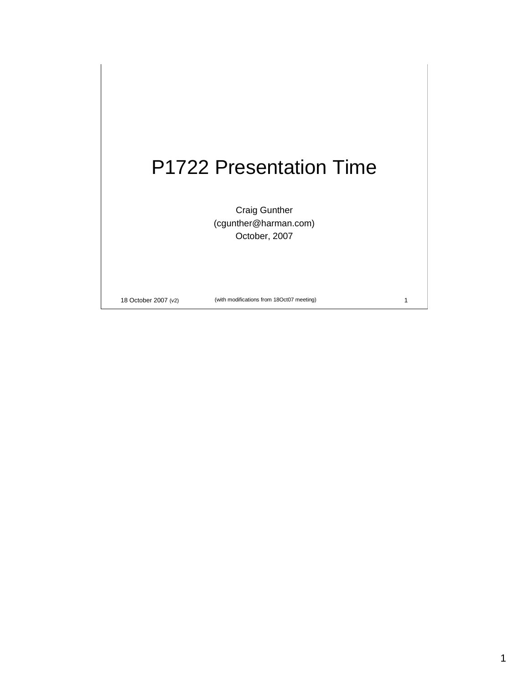## P1722 Presentation Time

Craig Gunther (cgunther@harman.com) October, 2007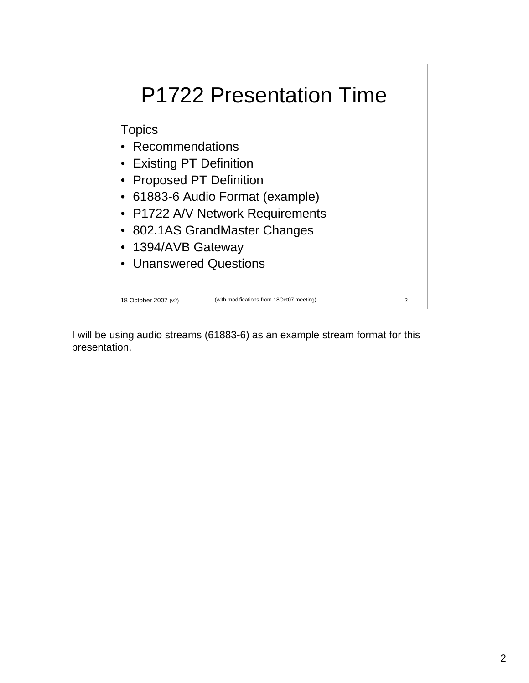# P1722 Presentation Time

**Topics** 

- Recommendations
- Existing PT Definition
- Proposed PT Definition
- 61883-6 Audio Format (example)
- P1722 A/V Network Requirements
- 802.1AS GrandMaster Changes
- 1394/AVB Gateway
- Unanswered Questions

18 October 2007 (v2) (with modifications from 18Oct07 meeting) 2

I will be using audio streams (61883-6) as an example stream format for this presentation.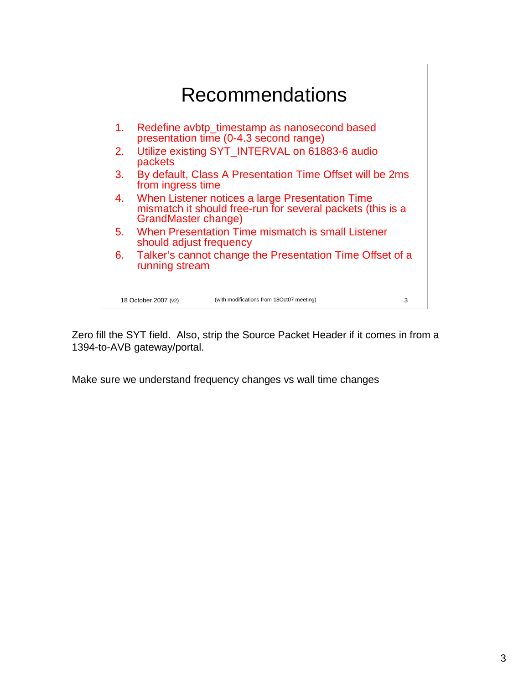

Zero fill the SYT field. Also, strip the Source Packet Header if it comes in from a 1394-to-AVB gateway/portal.

Make sure we understand frequency changes vs wall time changes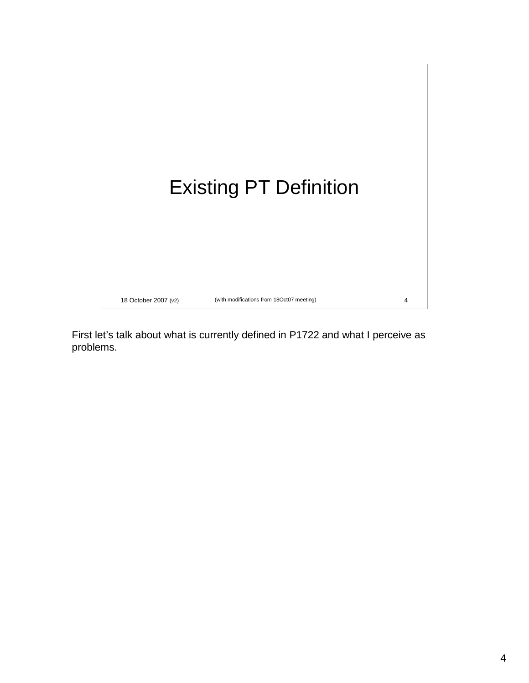

First let's talk about what is currently defined in P1722 and what I perceive as problems.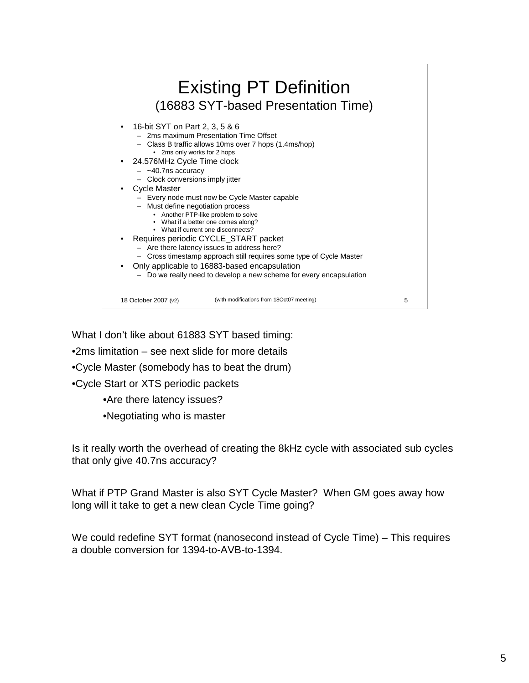

What I don't like about 61883 SYT based timing:

•2ms limitation – see next slide for more details

•Cycle Master (somebody has to beat the drum)

•Cycle Start or XTS periodic packets

•Are there latency issues?

•Negotiating who is master

Is it really worth the overhead of creating the 8kHz cycle with associated sub cycles that only give 40.7ns accuracy?

What if PTP Grand Master is also SYT Cycle Master? When GM goes away how long will it take to get a new clean Cycle Time going?

We could redefine SYT format (nanosecond instead of Cycle Time) – This requires a double conversion for 1394-to-AVB-to-1394.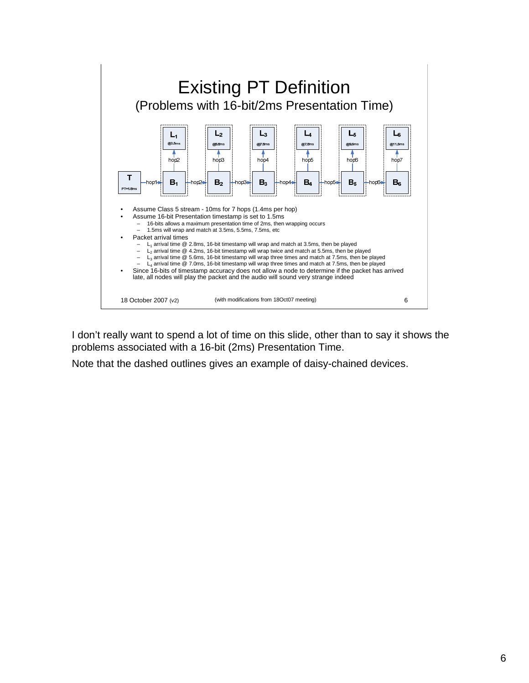

I don't really want to spend a lot of time on this slide, other than to say it shows the problems associated with a 16-bit (2ms) Presentation Time.

Note that the dashed outlines gives an example of daisy-chained devices.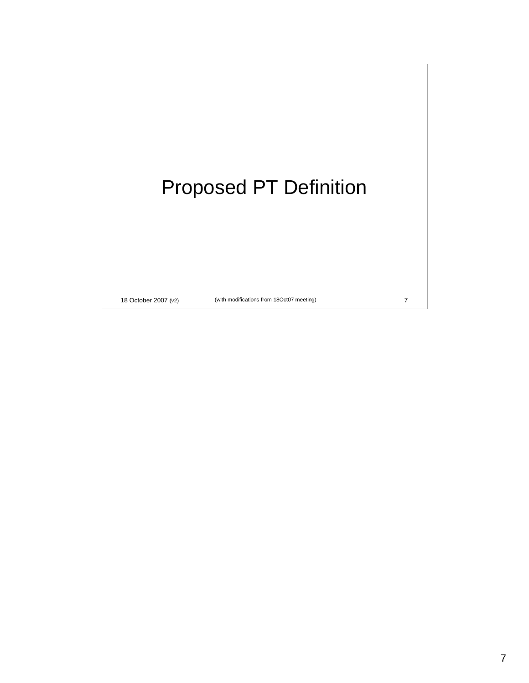# Proposed PT Definition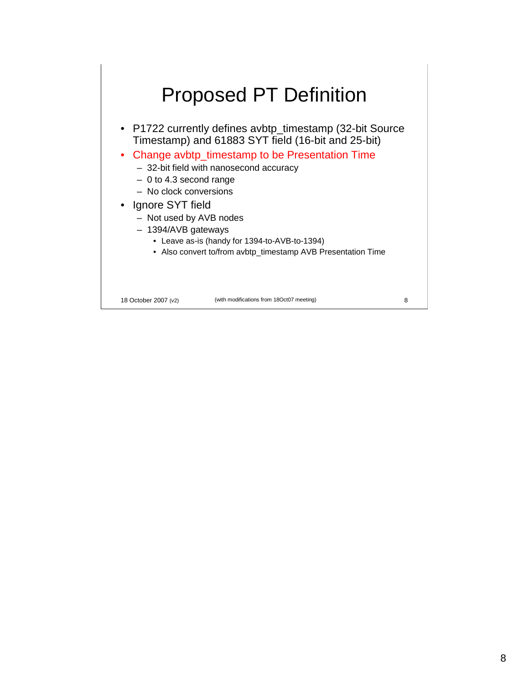### Proposed PT Definition

• P1722 currently defines avbtp\_timestamp (32-bit Source Timestamp) and 61883 SYT field (16-bit and 25-bit)

• Change avbtp\_timestamp to be Presentation Time

– 32-bit field with nanosecond accuracy

- 0 to 4.3 second range
- No clock conversions

#### • Ignore SYT field

- Not used by AVB nodes
- 1394/AVB gateways
	- Leave as-is (handy for 1394-to-AVB-to-1394)
	- Also convert to/from avbtp\_timestamp AVB Presentation Time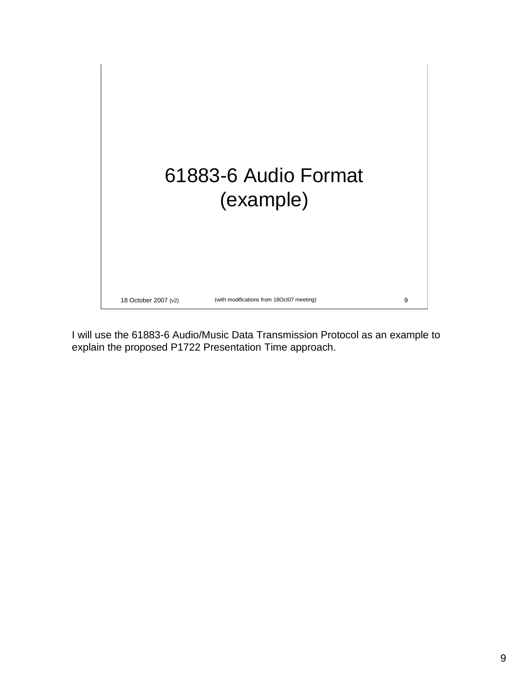

I will use the 61883-6 Audio/Music Data Transmission Protocol as an example to explain the proposed P1722 Presentation Time approach.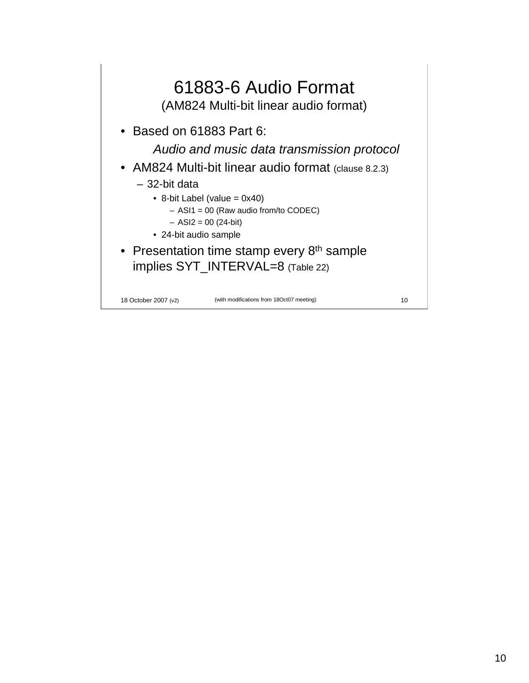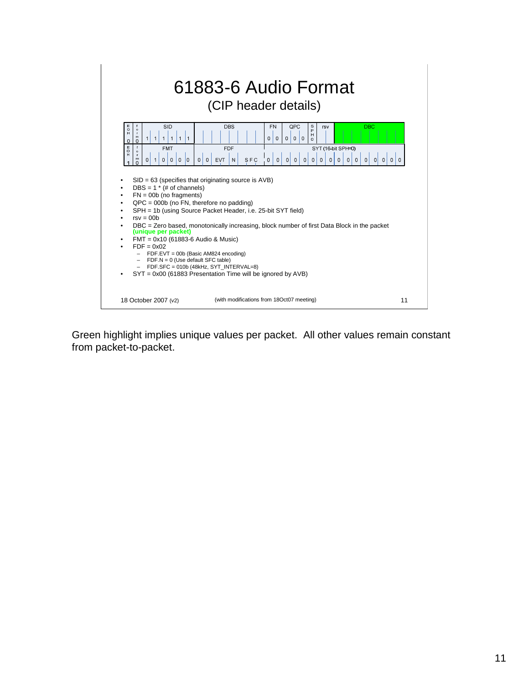

Green highlight implies unique values per packet. All other values remain constant from packet-to-packet.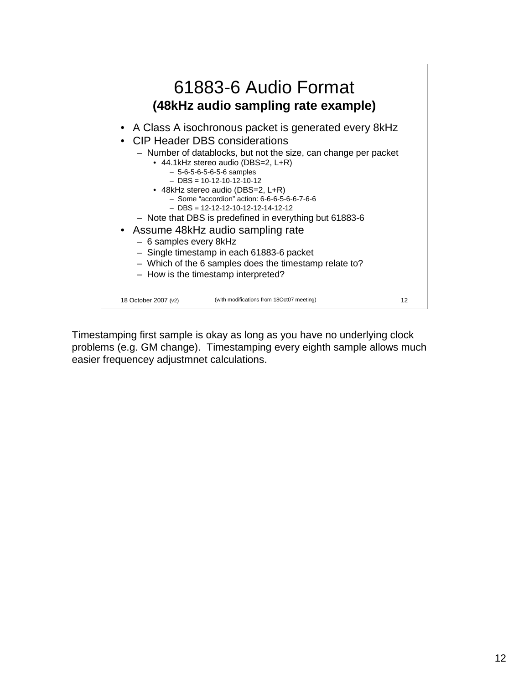

Timestamping first sample is okay as long as you have no underlying clock problems (e.g. GM change). Timestamping every eighth sample allows much easier frequencey adjustmnet calculations.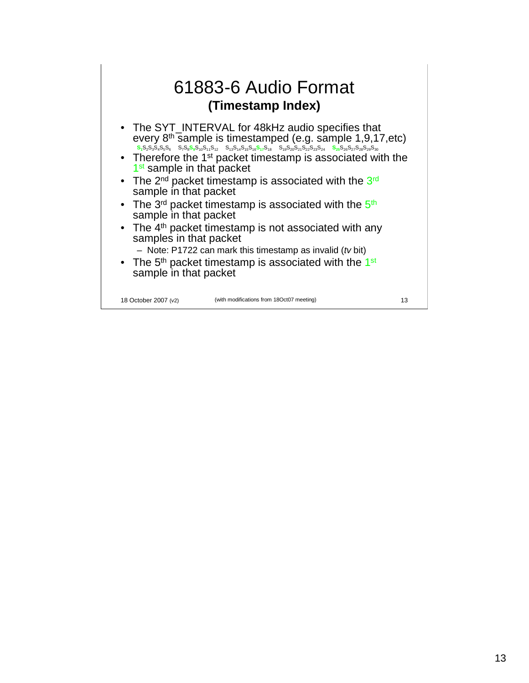#### 61883-6 Audio Format **(Timestamp Index)**

- The SYT\_INTERVAL for 48kHz audio specifies that every 8<sup>th</sup> sample is timestamped (e.g. sample 1,9,17,etc) **S1**S2S3S4S5S6 S7S8**S9**S10S11S12 S13S14S15S16**S17**S18 S19S20S21S22S23S24 **S25**S26S27S28S29S<sup>30</sup>
- Therefore the 1<sup>st</sup> packet timestamp is associated with the 1<sup>st</sup> sample in that packet
- The 2<sup>nd</sup> packet timestamp is associated with the 3<sup>rd</sup> sample in that packet
- The 3<sup>rd</sup> packet timestamp is associated with the 5<sup>th</sup> sample in that packet
- The 4<sup>th</sup> packet timestamp is not associated with any samples in that packet
	- Note: P1722 can mark this timestamp as invalid (tv bit)
- The  $5<sup>th</sup>$  packet timestamp is associated with the 1<sup>st</sup> sample in that packet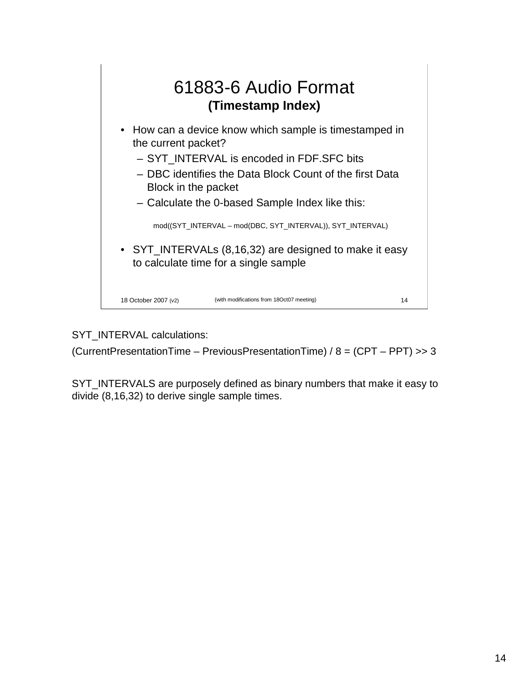

SYT\_INTERVAL calculations:

(CurrentPresentationTime – PreviousPresentationTime) / 8 = (CPT – PPT) >> 3

SYT\_INTERVALS are purposely defined as binary numbers that make it easy to divide (8,16,32) to derive single sample times.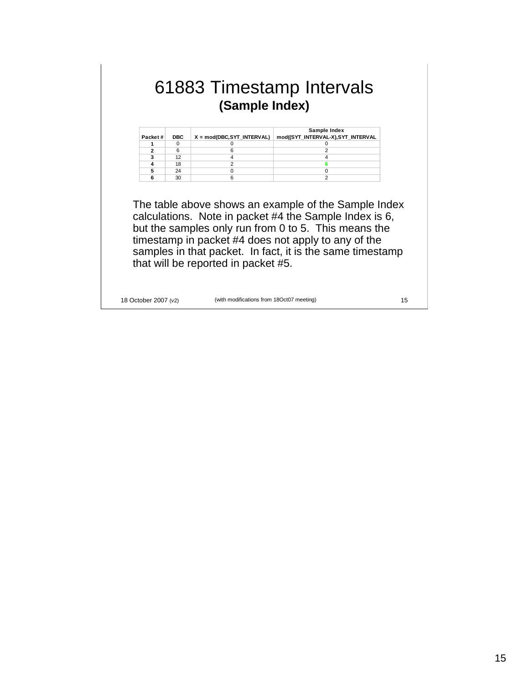### 61883 Timestamp Intervals **(Sample Index)**

| Packet# | <b>DBC</b> | X = mod(DBC,SYT_INTERVAL) | Sample Index<br>mod((SYT_INTERVAL-X),SYT_INTERVAL |
|---------|------------|---------------------------|---------------------------------------------------|
|         |            |                           |                                                   |
|         | 6          |                           |                                                   |
|         | 12         |                           |                                                   |
|         | 18         |                           |                                                   |
|         | 24         |                           |                                                   |
|         | 30         |                           |                                                   |

The table above shows an example of the Sample Index calculations. Note in packet #4 the Sample Index is 6, but the samples only run from 0 to 5. This means the timestamp in packet #4 does not apply to any of the samples in that packet. In fact, it is the same timestamp that will be reported in packet #5.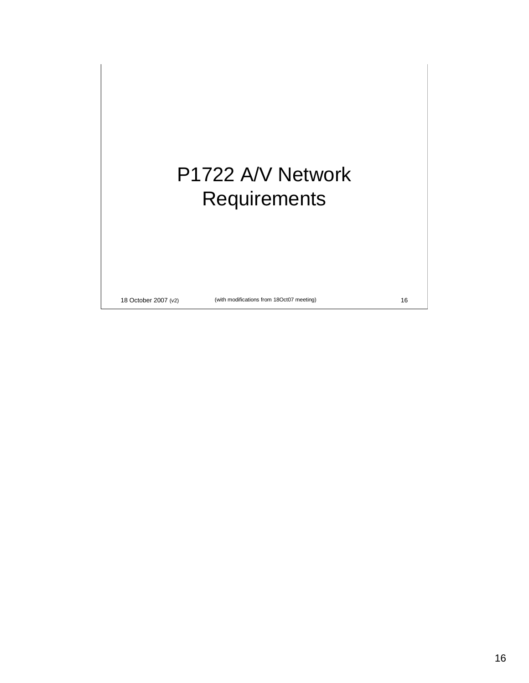# P1722 A/V Network Requirements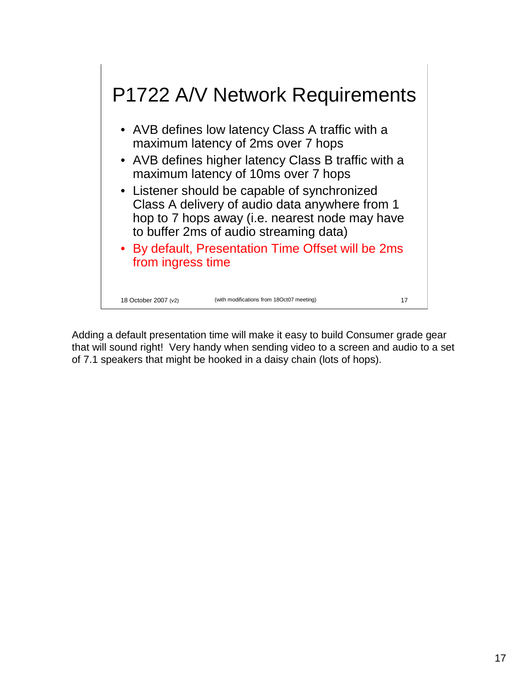

Adding a default presentation time will make it easy to build Consumer grade gear that will sound right! Very handy when sending video to a screen and audio to a set of 7.1 speakers that might be hooked in a daisy chain (lots of hops).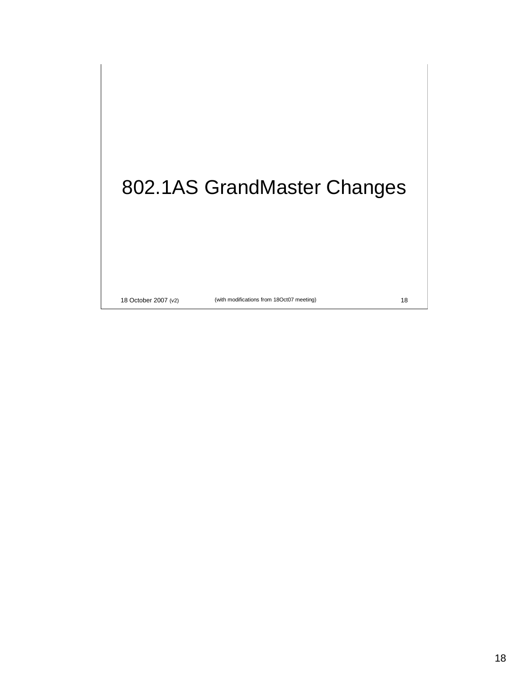# 802.1AS GrandMaster Changes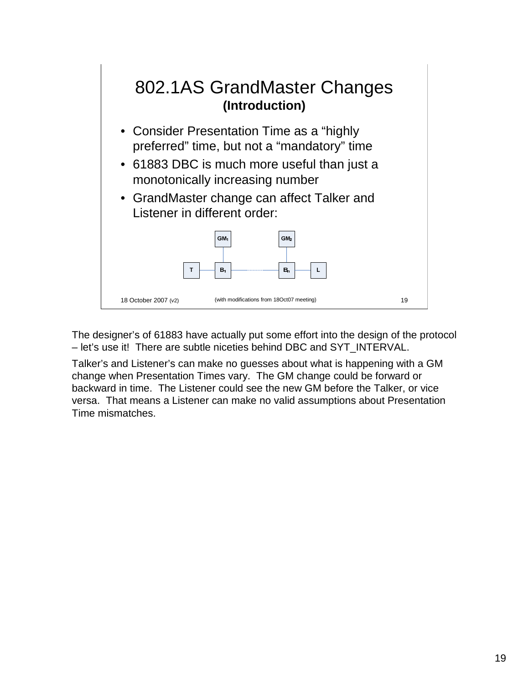

The designer's of 61883 have actually put some effort into the design of the protocol – let's use it! There are subtle niceties behind DBC and SYT\_INTERVAL.

Talker's and Listener's can make no guesses about what is happening with a GM change when Presentation Times vary. The GM change could be forward or backward in time. The Listener could see the new GM before the Talker, or vice versa. That means a Listener can make no valid assumptions about Presentation Time mismatches.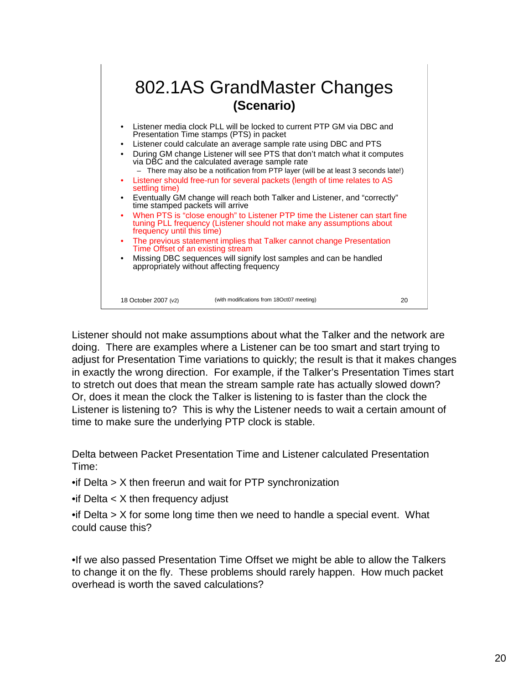

Listener should not make assumptions about what the Talker and the network are doing. There are examples where a Listener can be too smart and start trying to adjust for Presentation Time variations to quickly; the result is that it makes changes in exactly the wrong direction. For example, if the Talker's Presentation Times start to stretch out does that mean the stream sample rate has actually slowed down? Or, does it mean the clock the Talker is listening to is faster than the clock the Listener is listening to? This is why the Listener needs to wait a certain amount of time to make sure the underlying PTP clock is stable.

Delta between Packet Presentation Time and Listener calculated Presentation Time:

•if Delta > X then freerun and wait for PTP synchronization

•if Delta < X then frequency adjust

•if Delta > X for some long time then we need to handle a special event. What could cause this?

•If we also passed Presentation Time Offset we might be able to allow the Talkers to change it on the fly. These problems should rarely happen. How much packet overhead is worth the saved calculations?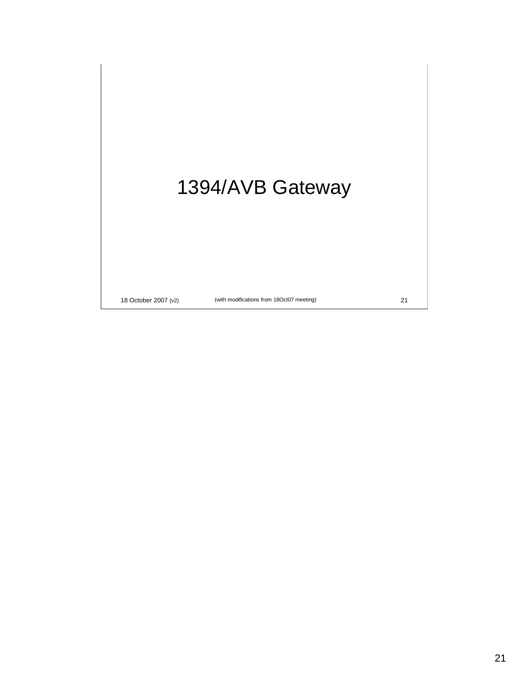# 1394/AVB Gateway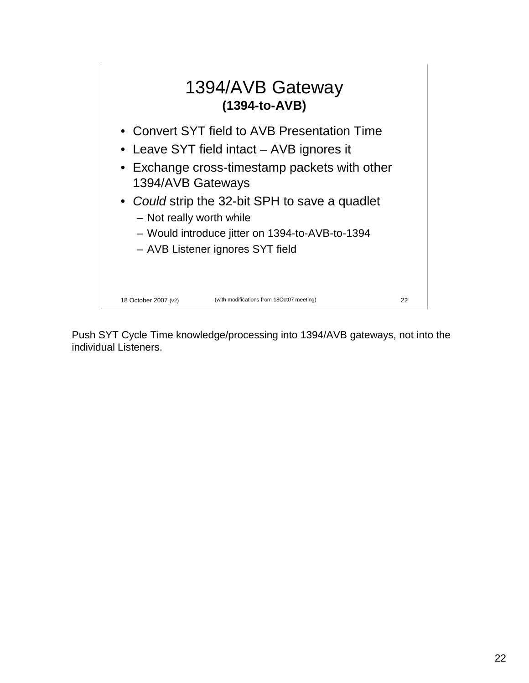

Push SYT Cycle Time knowledge/processing into 1394/AVB gateways, not into the individual Listeners.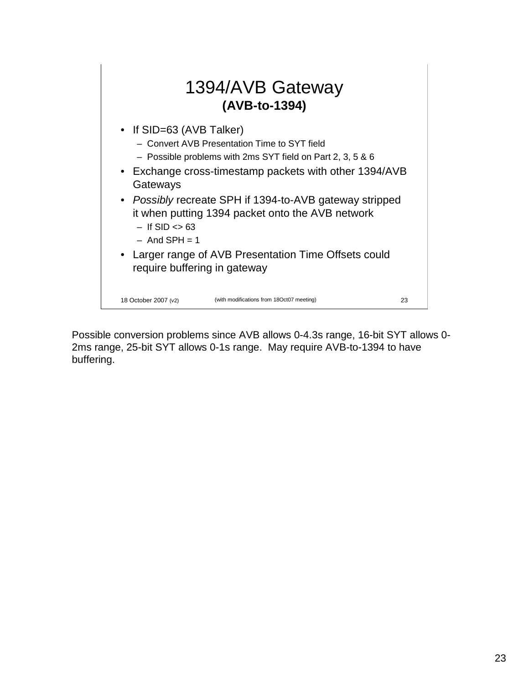

Possible conversion problems since AVB allows 0-4.3s range, 16-bit SYT allows 0- 2ms range, 25-bit SYT allows 0-1s range. May require AVB-to-1394 to have buffering.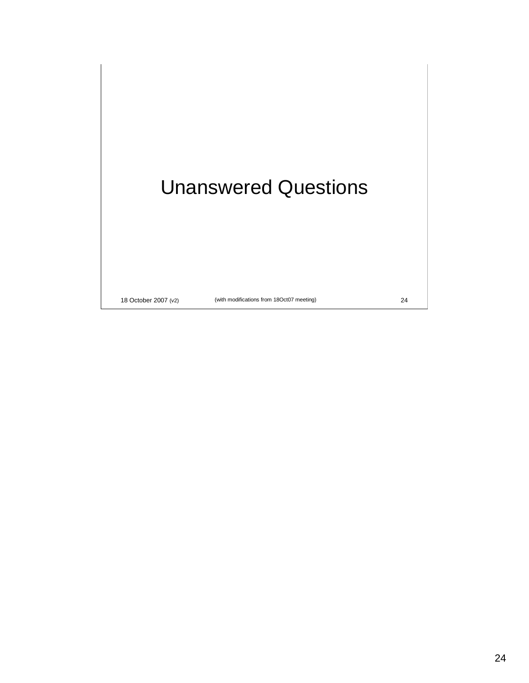### Unanswered Questions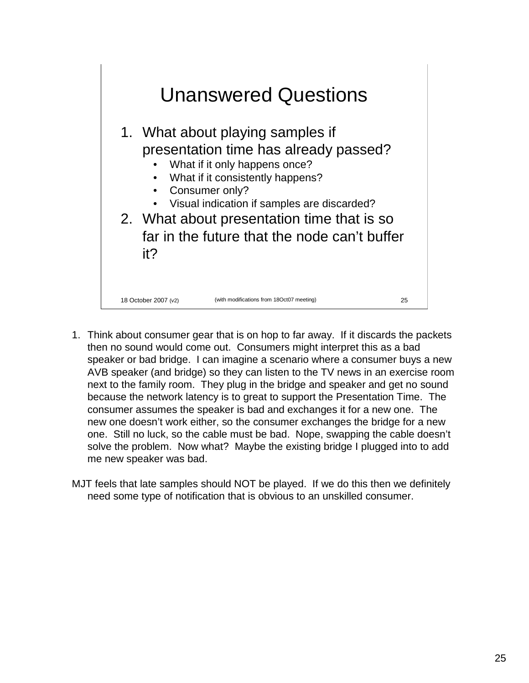

- 1. Think about consumer gear that is on hop to far away. If it discards the packets then no sound would come out. Consumers might interpret this as a bad speaker or bad bridge. I can imagine a scenario where a consumer buys a new AVB speaker (and bridge) so they can listen to the TV news in an exercise room next to the family room. They plug in the bridge and speaker and get no sound because the network latency is to great to support the Presentation Time. The consumer assumes the speaker is bad and exchanges it for a new one. The new one doesn't work either, so the consumer exchanges the bridge for a new one. Still no luck, so the cable must be bad. Nope, swapping the cable doesn't solve the problem. Now what? Maybe the existing bridge I plugged into to add me new speaker was bad.
- MJT feels that late samples should NOT be played. If we do this then we definitely need some type of notification that is obvious to an unskilled consumer.